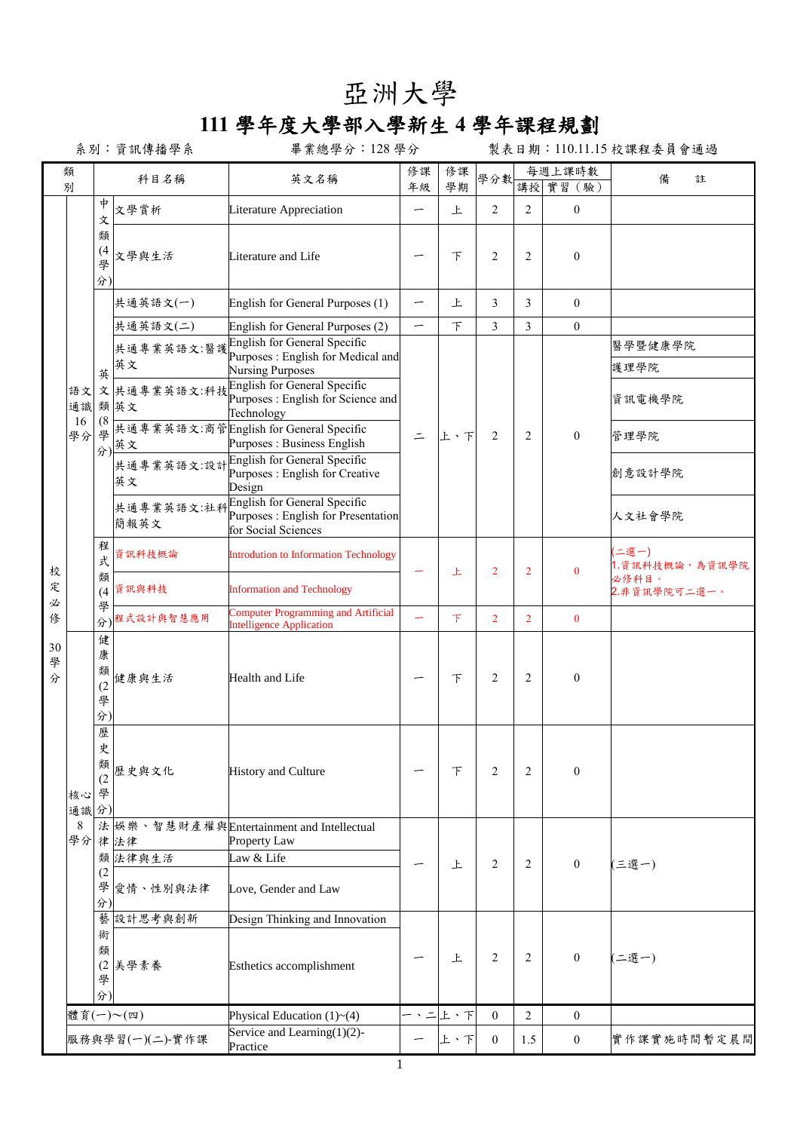## 亞洲大學

## **111** 學年度大學部入學新生 **4** 學年課程規劃

系別:資訊傳播學系 畢業總學分:128 學分 製表日期:110.11.15 校課程委員會通過

|              | 類<br>別               |                                                         | 科目名稱                             | 英文名稱                                                                                                                                                                                           | 修課<br>年級                              | 修課<br>學期 | 學分數              | 每週上課時數<br>講授 實習 (驗) |                  | 備<br>註                   |
|--------------|----------------------|---------------------------------------------------------|----------------------------------|------------------------------------------------------------------------------------------------------------------------------------------------------------------------------------------------|---------------------------------------|----------|------------------|---------------------|------------------|--------------------------|
|              |                      | †<br>文                                                  | 文學賞析                             | Literature Appreciation                                                                                                                                                                        | —<br>—                                | 上        | 2                | 2                   | $\mathbf{0}$     |                          |
|              |                      | 類<br>(4)<br>學<br>分)                                     | 文學與生活                            | Literature and Life                                                                                                                                                                            |                                       | 下        | 2                | $\overline{2}$      | $\mathbf{0}$     |                          |
|              |                      |                                                         | 共通英語文(一)                         | English for General Purposes (1)                                                                                                                                                               |                                       | 上        | 3                | 3                   | $\mathbf{0}$     |                          |
|              |                      |                                                         | 共通英語文(二)                         | English for General Purposes (2)                                                                                                                                                               | —                                     | F        | $\overline{3}$   | $\mathfrak{Z}$      | $\mathbf{0}$     |                          |
|              | 語文<br>通識<br>16<br>學分 |                                                         | 共通專業英語文:醫護<br>英文                 | English for General Specific<br>Purposes : English for Medical and<br><b>Nursing Purposes</b><br>文 共通專業英語文:科技 English for General Specific<br>Purposes : English for Science and<br>Technology |                                       | 上、下      | 2                |                     |                  | 醫學暨健康學院<br>護理學院          |
|              |                      | 英<br>(8)                                                | 類英文                              |                                                                                                                                                                                                |                                       |          |                  | 2                   |                  | 資訊電機學院                   |
|              |                      | 學                                                       | 英文                               | 共通專業英語文:商管English for General Specific<br>Purposes : Business English                                                                                                                          | $\equiv$                              |          |                  |                     | $\mathbf{0}$     | 管理學院                     |
|              |                      | 分)                                                      | 英文                               | <br> 共通專業英語文:設計  English for General Specific<br>Purposes : English for Creative<br>Design                                                                                                     |                                       |          |                  |                     |                  | 創意設計學院                   |
|              |                      |                                                         | 共通專業英語文:社科<br>簡報英文               | <b>English for General Specific</b><br>Purposes : English for Presentation<br>for Social Sciences                                                                                              |                                       |          |                  |                     |                  | 人文社會學院                   |
| 校            |                      | 程<br>式<br>類<br>(4)<br>學                                 | 資訊科技概論                           | <b>Introdution to Information Technology</b>                                                                                                                                                   |                                       | 上        | $\overline{2}$   | 2                   | $\mathbf{0}$     | (二選一)<br>1. 資訊科技概論,為資訊學院 |
| 定<br>必       |                      |                                                         | 資訊與科技                            | <b>Information and Technology</b>                                                                                                                                                              |                                       |          |                  |                     |                  | 必修科目。<br>2.非資訊學院可二選一。    |
| 修            |                      | 分)                                                      | 程式設計與智慧應用                        | <b>Computer Programming and Artificial</b><br><b>Intelligence Application</b>                                                                                                                  |                                       | 下        | $\overline{2}$   | $\overline{2}$      | $\mathbf{0}$     |                          |
| 30<br>學<br>分 | 核心<br>通識分)           | 健<br>康<br>類<br>(2)<br>學<br>分)<br>歷<br>史<br>類<br>(2<br>學 | 健康與生活                            | Health and Life                                                                                                                                                                                |                                       | F        | $\overline{2}$   | $\overline{2}$      | $\mathbf{0}$     |                          |
|              |                      |                                                         | 歷史與文化                            | <b>History and Culture</b>                                                                                                                                                                     |                                       | 下        | 2                | 2                   | $\mathbf{0}$     |                          |
|              | 8                    |                                                         |                                  | 法 娛樂、智慧財產權與Entertainment and Intellectual                                                                                                                                                      |                                       |          |                  |                     |                  |                          |
|              | 學分                   | 類                                                       | 律法律<br>法律與生活                     | Property Law<br>Law & Life                                                                                                                                                                     |                                       |          |                  |                     |                  |                          |
|              |                      | (2)<br>學<br>分)                                          | 愛情、性別與法律                         | Love, Gender and Law                                                                                                                                                                           |                                       | 上        | 2                | 2                   | $\boldsymbol{0}$ | (三選一)                    |
|              |                      | 藝                                                       | 設計思考與創新                          | Design Thinking and Innovation                                                                                                                                                                 |                                       |          |                  |                     |                  |                          |
|              |                      | 術<br>類<br>(2)<br>學<br>分)                                | 美學素養<br>Esthetics accomplishment |                                                                                                                                                                                                |                                       | 上        | $\overline{2}$   | 2                   | $\boldsymbol{0}$ | 二選一)                     |
|              |                      |                                                         | 體育(一)~(四)                        | Physical Education $(1)$ ~ $(4)$                                                                                                                                                               | $\equiv$<br>$\boldsymbol{\mathsf{v}}$ | 上、下      | $\mathbf{0}$     | 2                   | $\boldsymbol{0}$ |                          |
|              |                      |                                                         | 服務與學習(一)(二)-實作課                  | Service and Learning $(1)(2)$ -<br>Practice                                                                                                                                                    |                                       | 上、下      | $\boldsymbol{0}$ | 1.5                 | $\boldsymbol{0}$ | 實作課實施時間暫定晨間              |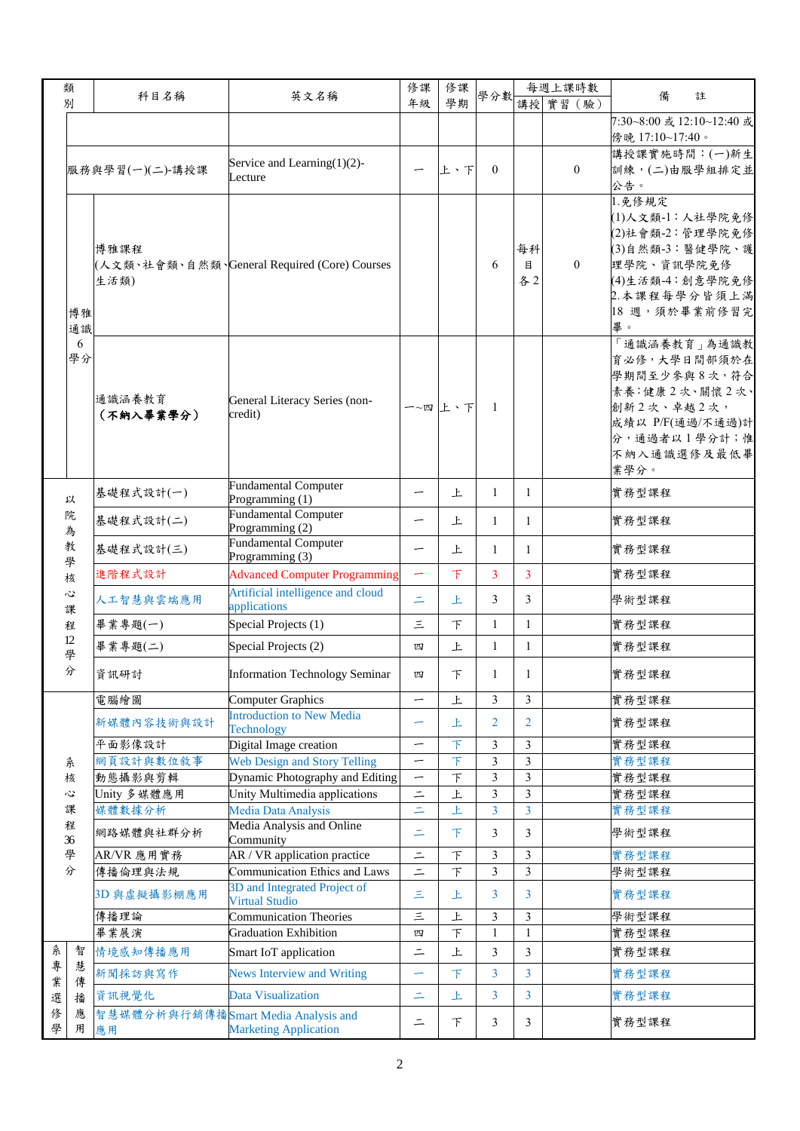|   | 類                                    |                                     |                                              | 修課                       | 修課                      |                |                | 每週上課時數         |                           |  |
|---|--------------------------------------|-------------------------------------|----------------------------------------------|--------------------------|-------------------------|----------------|----------------|----------------|---------------------------|--|
|   | 別                                    | 科目名稱                                | 英文名稱                                         | 年級                       | 學期                      | 學分數            |                | 講授 實習 (驗)      | 備<br>註                    |  |
|   |                                      |                                     |                                              |                          |                         |                |                |                | 7:30~8:00 或 12:10~12:40 或 |  |
|   |                                      |                                     |                                              |                          |                         |                |                |                | 傍晚 17:10~17:40。           |  |
|   |                                      |                                     |                                              |                          |                         |                |                |                | 講授課實施時間:(一)新生             |  |
|   |                                      |                                     | Service and Learning $(1)(2)$ -              | —                        |                         | $\Omega$       |                | $\mathbf{0}$   | 訓練,(二)由服學組排定並             |  |
|   |                                      | 服務與學習(一)(二)-講授課                     | Lecture                                      |                          | 上、下                     |                |                |                | 公告。                       |  |
|   |                                      |                                     |                                              |                          |                         |                |                |                |                           |  |
|   |                                      |                                     |                                              |                          |                         |                |                |                | 1.免修規定                    |  |
|   |                                      |                                     |                                              |                          |                         |                |                |                | (1)人文類-1:人社學院免修           |  |
|   |                                      |                                     |                                              |                          |                         |                |                |                | (2)社會類-2:管理學院免修           |  |
|   |                                      | 博雅課程                                |                                              |                          |                         |                | 每科             |                | (3)自然類-3:醫健學院、護           |  |
|   |                                      |                                     | (人文類、社會類、自然類、General Required (Core) Courses |                          |                         | 6              | 目              | $\overline{0}$ | 理學院、資訊學院免修                |  |
|   |                                      | 生活類)                                |                                              |                          |                         |                | 各2             |                | (4)生活類-4:創意學院免修           |  |
|   |                                      |                                     |                                              |                          |                         |                |                |                | 2.本課程每學分皆須上滿              |  |
|   | 博雅                                   |                                     |                                              |                          |                         |                |                |                | 18 週,須於畢業前修習完             |  |
|   | 通識                                   |                                     |                                              |                          |                         |                |                |                | 畢。                        |  |
|   | 6                                    |                                     |                                              |                          |                         |                |                |                | 面識涵養教育」為通識教               |  |
|   | 學分                                   |                                     |                                              |                          |                         |                |                |                | 育必修,大學日間部須於在              |  |
|   |                                      |                                     |                                              |                          |                         |                |                |                | 學期間至少參與8次,符合              |  |
|   |                                      | 通識涵養教育                              |                                              |                          | 一~四上、下                  |                |                |                | 素養:健康2次、關懷2次、             |  |
|   |                                      | (不納入畢業學分)                           | General Literacy Series (non-<br>credit)     |                          |                         | $\mathbf{1}$   |                |                | 創新2次、卓越2次,                |  |
|   |                                      |                                     |                                              |                          |                         |                |                |                | 成績以 P/F(通過/不通過)計          |  |
|   |                                      |                                     |                                              |                          |                         |                |                |                | 分,通過者以1學分計;惟              |  |
|   |                                      |                                     |                                              |                          |                         |                |                |                | 不納入通識選修及最低畢               |  |
|   |                                      |                                     |                                              |                          |                         |                |                |                | 業學分。                      |  |
|   |                                      |                                     | <b>Fundamental Computer</b>                  |                          |                         |                |                |                |                           |  |
|   | 以                                    | 基礎程式設計(一)                           | Programming (1)                              | -                        | 上                       | 1              | 1              |                | 實務型課程                     |  |
|   | 院<br>為<br>教<br>學<br>核<br>Č<br>課<br>程 | 基礎程式設計(二)                           | Fundamental Computer                         | —                        | 上                       | 1              | $\mathbf{1}$   |                | 實務型課程                     |  |
|   |                                      |                                     | Programming (2)                              |                          |                         |                |                |                |                           |  |
|   |                                      | 基礎程式設計(三)                           | <b>Fundamental Computer</b>                  | —                        | 上                       | 1              | $\mathbf{1}$   |                | 實務型課程                     |  |
|   |                                      |                                     | Programming (3)                              |                          |                         |                |                |                |                           |  |
|   |                                      | 進階程式設計                              | <b>Advanced Computer Programming</b>         | -                        | $\top$                  | 3              | 3              |                | 實務型課程                     |  |
|   |                                      |                                     | Artificial intelligence and cloud            |                          |                         |                |                |                |                           |  |
|   |                                      | 人工智慧與雲端應用                           | applications                                 | $\equiv$                 | 上                       | 3              | 3              |                | 學術型課程                     |  |
|   |                                      | 畢業專題(一)                             | Special Projects (1)                         | Ξ                        | F                       | $\mathbf{1}$   | $\mathbf{1}$   |                | 實務型課程                     |  |
|   | 12                                   |                                     |                                              |                          |                         |                |                |                |                           |  |
|   | 學<br>分                               | 畢業專題(二)                             | Special Projects (2)                         | 四                        | 上                       | $\mathbf{1}$   | $\mathbf{1}$   |                | 實務型課程                     |  |
|   |                                      | 資訊研討                                | <b>Information Technology Seminar</b>        | 四                        | 下                       | 1              | 1              |                | 實務型課程                     |  |
|   |                                      |                                     |                                              |                          |                         |                |                |                |                           |  |
|   |                                      | 電腦繪圖                                | <b>Computer Graphics</b>                     |                          | 上                       | 3              | 3              |                | 實務型課程                     |  |
|   |                                      |                                     | <b>Introduction to New Media</b>             |                          |                         |                |                |                |                           |  |
|   |                                      | 新媒體內容技術與設計                          | Technology                                   |                          | 上                       | $\overline{2}$ | $\overline{2}$ |                | 實務型課程                     |  |
|   |                                      | 平面影像設計                              | Digital Image creation                       | $\overline{\phantom{0}}$ | $\bar{T}$               | 3              | $\mathfrak{Z}$ |                | 實務型課程                     |  |
|   | 糸                                    | 網頁設計與數位敘事                           | <b>Web Design and Story Telling</b>          | —                        | 下                       | 3              | 3              |                | 實務型課程                     |  |
|   | 核                                    | 動態攝影與剪輯                             | Dynamic Photography and Editing              | —                        | $\top$                  | 3              | $\mathfrak{Z}$ |                | 實務型課程                     |  |
|   | 心                                    | Unity 多媒體應用                         | Unity Multimedia applications                | $\equiv$                 | $\overline{\mathsf{F}}$ | $\overline{3}$ | $\overline{3}$ |                | 實務型課程                     |  |
|   | 課                                    | 媒體數據分析                              | Media Data Analysis                          | $\equiv$                 | 上                       | $\overline{3}$ | $\overline{3}$ |                | 實務型課程                     |  |
|   | 程                                    |                                     | Media Analysis and Online                    |                          |                         |                |                |                |                           |  |
|   | 36                                   | 網路媒體與社群分析                           | Community                                    | $\equiv$                 | 下                       | 3              | 3              |                | 學術型課程                     |  |
|   | 學                                    | AR/VR 應用實務                          | AR / VR application practice                 | $\equiv$                 | $\top$                  | 3              | 3              |                | 實務型課程                     |  |
|   | 分                                    | 傳播倫理與法規                             | Communication Ethics and Laws                | $=$                      | 下                       | $\overline{3}$ | $\mathfrak{Z}$ |                | 學術型課程                     |  |
|   |                                      |                                     | 3D and Integrated Project of                 |                          |                         |                |                |                |                           |  |
|   |                                      | 3D 與虛擬攝影棚應用                         | <b>Virtual Studio</b>                        | Ξ                        | 上                       | 3              | 3              |                | 實務型課程                     |  |
|   |                                      | 傳播理論                                | <b>Communication Theories</b>                | $\equiv$                 | 上                       | $\mathfrak{Z}$ | 3              |                | 學術型課程                     |  |
|   |                                      | 畢業展演                                | <b>Graduation Exhibition</b>                 | 四                        | 下                       | $\mathbf{1}$   | 1              |                | 實務型課程                     |  |
| 糸 | 智                                    | 情境感知傳播應用                            | Smart IoT application                        | $=$                      | 上                       | $\mathfrak{Z}$ | $\overline{3}$ |                | 實務型課程                     |  |
| 專 | 慧                                    |                                     |                                              |                          |                         |                |                |                |                           |  |
| 業 | 傳                                    | 新聞採訪與寫作                             | <b>News Interview and Writing</b>            | -                        | 下                       | 3              | 3              |                | 實務型課程                     |  |
| 選 | 播                                    | 資訊視覺化                               | Data Visualization                           | $\equiv$                 | 上                       | $\overline{3}$ | $\overline{3}$ |                | 實務型課程                     |  |
| 俢 | 應                                    |                                     |                                              |                          |                         |                |                |                |                           |  |
| 學 | 用                                    | 智慧媒體分析與行銷傳播Smart Media Analysis and | <b>Marketing Application</b>                 | $\equiv$                 | 下                       | 3              | 3              |                | 實務型課程                     |  |
|   |                                      | 應用                                  |                                              |                          |                         |                |                |                |                           |  |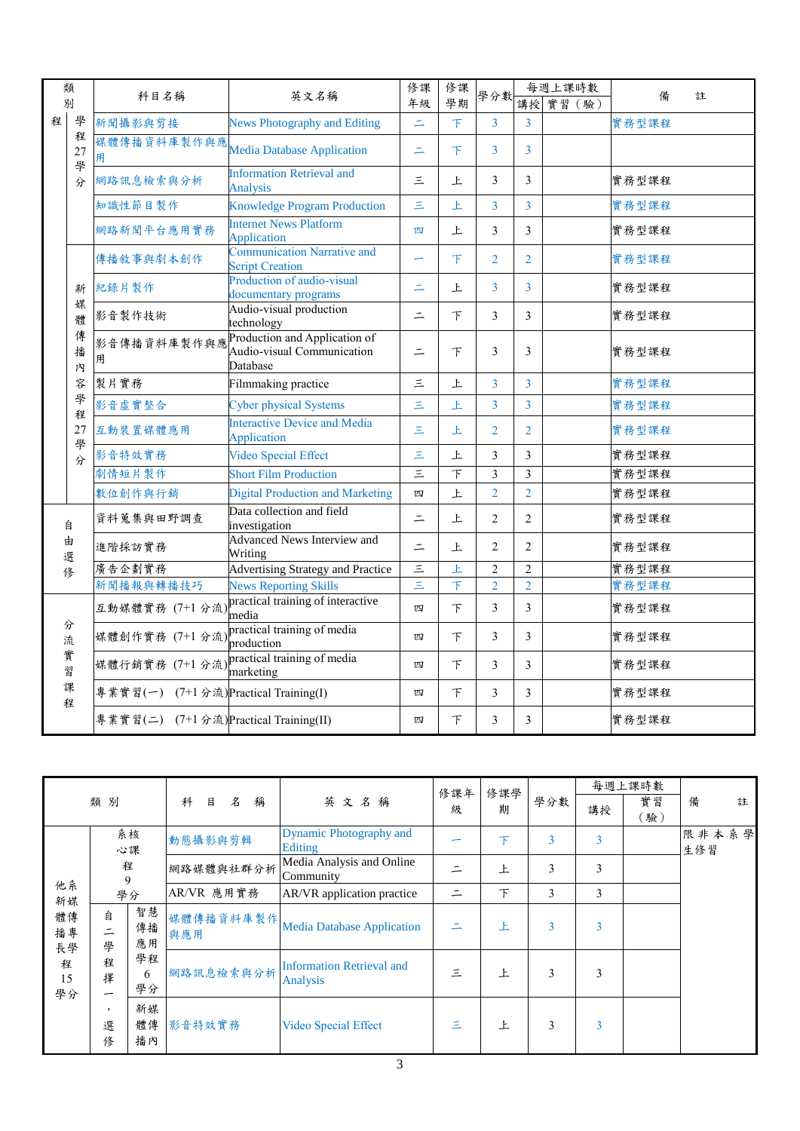|        | 類                 | 科目名稱                                        | 英文名稱                                                                    | 修課<br>年級             | 修課<br>學期  | 學分數                     |                | 每週上課時數    | 備<br>註 |
|--------|-------------------|---------------------------------------------|-------------------------------------------------------------------------|----------------------|-----------|-------------------------|----------------|-----------|--------|
| 別      |                   |                                             |                                                                         |                      |           |                         |                | 講授 實習 (驗) |        |
| 程      | 學                 | 新聞攝影與剪接                                     | <b>News Photography and Editing</b>                                     | $\equiv$             | $\bar{T}$ | 3                       | 3              |           | 實務型課程  |
|        | 程<br>27<br>學<br>分 | 媒體傳播資料庫製作與應<br>用                            | <b>Media Database Application</b>                                       | Ξ                    | 下         | 3                       | $\overline{3}$ |           |        |
|        |                   | 網路訊息檢索與分析                                   | <b>Information Retrieval and</b><br><b>Analysis</b>                     | $\equiv$             | <b>F</b>  | 3                       | 3              |           | 實務型課程  |
|        |                   | 知識性節目製作                                     | <b>Knowledge Program Production</b>                                     | Ξ                    | Ł         | $\overline{3}$          | $\overline{3}$ |           | 實務型課程  |
|        |                   | 網路新聞平台應用實務                                  | <b>Internet News Platform</b><br>Application                            | 四                    | 上         | 3                       | 3              |           | 實務型課程  |
|        | 新                 | 傳播敘事與劇本創作                                   | <b>Communication Narrative and</b><br><b>Script Creation</b>            |                      | 下         | $\overline{2}$          | $\overline{2}$ |           | 實務型課程  |
|        |                   | 紀錄片製作                                       | Production of audio-visual<br>documentary programs                      | $\equiv$             | 上         | $\overline{3}$          | 3              |           | 實務型課程  |
|        | 媒<br>體            | 影音製作技術                                      | Audio-visual production<br>technology                                   | $\equiv$             | $\top$    | 3                       | $\overline{3}$ |           | 實務型課程  |
|        | 傳<br>播<br>內<br>容  | 影音傳播資料庫製作與應<br>用                            | Production and Application of<br>Audio-visual Communication<br>Database | $=$                  | F         | 3                       | 3              |           | 實務型課程  |
|        |                   | 製片實務                                        | Filmmaking practice                                                     | Ξ                    | 上         | $\overline{3}$          | 3              |           | 實務型課程  |
|        | 學                 | 影音虛實整合                                      | <b>Cyber physical Systems</b>                                           | Ξ                    | 上         | $\overline{3}$          | 3              |           | 實務型課程  |
|        | 程<br>27<br>學<br>分 | 互動裝置媒體應用                                    | <b>Interactive Device and Media</b><br>Application                      | Ξ                    | 上         | $\overline{2}$          | $\overline{2}$ |           | 實務型課程  |
|        |                   | 影音特效實務                                      | Video Special Effect                                                    | Ξ                    | 上         | $\overline{\mathbf{3}}$ | $\mathfrak{Z}$ |           | 實務型課程  |
|        |                   | 劇情短片製作                                      | <b>Short Film Production</b>                                            | $\left  \mu \right $ | F         | 3                       | 3              |           | 實務型課程  |
|        |                   | 數位創作與行銷                                     | <b>Digital Production and Marketing</b>                                 | 四                    | 上         | $\overline{2}$          | $\overline{2}$ |           | 實務型課程  |
| 自      |                   | 資料蒐集與田野調查                                   | Data collection and field<br>investigation                              | $\equiv$             | 上         | $\overline{2}$          | $\overline{2}$ |           | 實務型課程  |
| 由<br>選 |                   | 進階採訪實務                                      | <b>Advanced News Interview and</b><br>Writing                           | $\equiv$             | 上         | $\overline{2}$          | $\overline{2}$ |           | 實務型課程  |
| 修      |                   | 廣告企劃實務                                      | <b>Advertising Strategy and Practice</b>                                | $\equiv$             | 上         | $\overline{c}$          | $\overline{2}$ |           | 實務型課程  |
|        |                   | 新聞播報與轉播技巧                                   | <b>News Reporting Skills</b>                                            | Ξ                    | $\top$    | $\overline{2}$          | $\overline{2}$ |           | 實務型課程  |
| 分      |                   |                                             | 互動媒體實務 (7+1 分流) practical training of interactive                       | 四                    | F         | $\overline{3}$          | 3              |           | 實務型課程  |
| 流      |                   | 媒體創作實務 (7+1 分流) practical training of media | production                                                              | 四                    | $\top$    | 3                       | 3              |           | 實務型課程  |
|        | 實<br>習            | 媒體行銷實務 (7+1 分流) practical training of media | marketing                                                               | 四                    | F         | 3                       | 3              |           | 實務型課程  |
| 程      | 課                 | 專業實習(一) (7+1 分流) Practical Training(I)      |                                                                         | 四                    | F         | 3                       | $\overline{3}$ |           | 實務型課程  |
|        |                   | 專業實習(二) (7+1分流)Practical Training(II)       |                                                                         | 四                    | 下         | 3                       | 3              |           | 實務型課程  |

|                |             |                |                  |                                                   | 修課年 | 修課學      |                | 每週上課時數 |           |              |  |
|----------------|-------------|----------------|------------------|---------------------------------------------------|-----|----------|----------------|--------|-----------|--------------|--|
| 類別             |             |                | 科<br>名<br>目<br>稱 | 英文名稱                                              | 级   | 期        | 學分數            | 講授     | 實習<br>[驗] | 備<br>註       |  |
|                |             | 系核<br>心課       | 動態攝影與剪輯          | <b>Dynamic Photography and</b><br>Editing         |     | 下        | $\overline{3}$ | 3      |           | 限非本系學<br>生修習 |  |
|                | 程<br>9      |                | 網路媒體與社群分析        | Media Analysis and Online<br>Community            |     | 上        | 3              | 3      |           |              |  |
| 他系<br>新媒       | 學分          |                | AR/VR 應用實務       | AR/VR application practice                        | ÷.  | 下        | 3              | 3      |           |              |  |
| 體傳<br>播專<br>長學 | 自<br>ᆖ<br>學 | 智慧<br>傳播<br>應用 | 媒體傳播資料庫製作<br>與應用 | <b>Media Database Application</b>                 |     | ŀ.       | 3              | 3      |           |              |  |
| 程<br>15<br>學分  | 程<br>擇<br>– | 學程<br>6<br>學分  | 網路訊息檢索與分析        | <b>Information Retrieval and</b><br>Ξ<br>Analysis |     | <b>F</b> | 3              | 3      |           |              |  |
|                | ,<br>選<br>修 | 新媒<br>體傳<br>播內 | 影音特效實務           | Video Special Effect                              | Ξ   | F        | 3              | 3      |           |              |  |